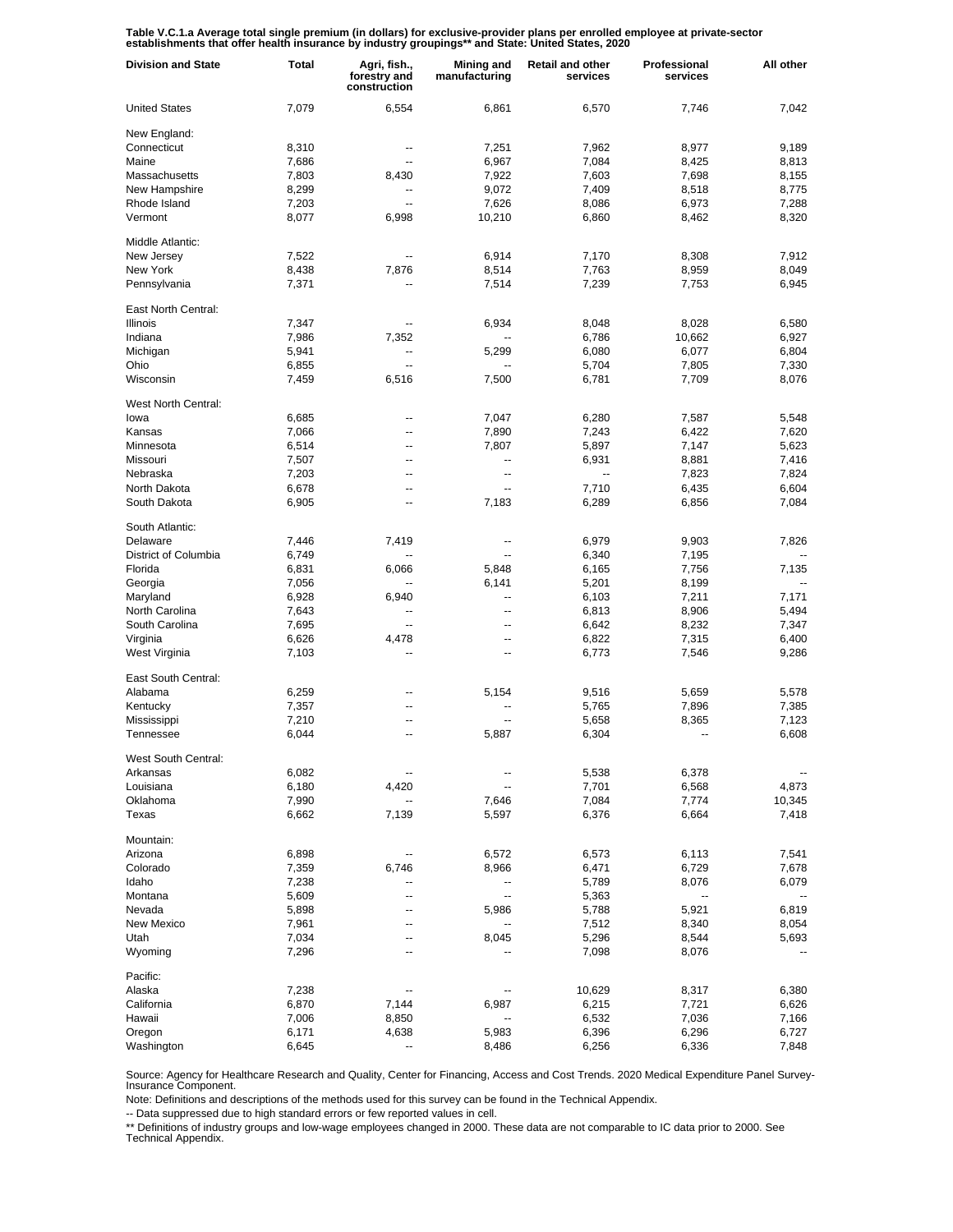Table V.C.1.a Average total single premium (in dollars) for exclusive-provider plans per enrolled employee at private-sector<br>establishments that offer health insurance by industry groupings\*\* and State: United States, 2020

| <b>Division and State</b> | Total | Agri, fish.,<br>forestry and<br>construction | Mining and<br>manufacturing | <b>Retail and other</b><br>services | Professional<br>services | All other |
|---------------------------|-------|----------------------------------------------|-----------------------------|-------------------------------------|--------------------------|-----------|
| <b>United States</b>      | 7,079 | 6,554                                        | 6,861                       | 6,570                               | 7,746                    | 7,042     |
| New England:              |       |                                              |                             |                                     |                          |           |
| Connecticut               | 8,310 | --                                           | 7,251                       | 7,962                               | 8,977                    | 9,189     |
| Maine                     | 7,686 | --                                           | 6,967                       | 7,084                               | 8,425                    | 8,813     |
| Massachusetts             | 7,803 | 8,430                                        | 7,922                       | 7,603                               | 7,698                    | 8,155     |
| New Hampshire             | 8,299 | --                                           | 9,072                       | 7,409                               | 8,518                    | 8,775     |
| Rhode Island              | 7,203 | --                                           | 7,626                       | 8,086                               | 6,973                    | 7,288     |
| Vermont                   | 8,077 | 6,998                                        | 10,210                      | 6,860                               | 8,462                    | 8,320     |
| Middle Atlantic:          |       |                                              |                             |                                     |                          |           |
| New Jersey                | 7,522 |                                              | 6,914                       | 7,170                               | 8,308                    | 7,912     |
| New York                  | 8,438 | 7,876                                        | 8,514                       | 7,763                               | 8,959                    | 8,049     |
| Pennsylvania              | 7,371 |                                              | 7,514                       | 7,239                               | 7,753                    | 6,945     |
| East North Central:       |       |                                              |                             |                                     |                          |           |
| Illinois                  | 7,347 | --                                           | 6,934                       | 8,048                               | 8,028                    | 6,580     |
| Indiana                   | 7,986 | 7,352                                        |                             | 6,786                               | 10,662                   | 6,927     |
| Michigan                  | 5,941 | --                                           | 5,299                       | 6,080                               | 6,077                    | 6,804     |
| Ohio                      | 6,855 | --                                           |                             | 5,704                               | 7,805                    | 7,330     |
| Wisconsin                 | 7,459 | 6,516                                        | 7,500                       | 6,781                               | 7,709                    | 8,076     |
| West North Central:       |       |                                              |                             |                                     |                          |           |
| lowa                      | 6,685 | ٠.                                           | 7,047                       | 6,280                               | 7,587                    | 5,548     |
| Kansas                    |       |                                              |                             |                                     |                          |           |
|                           | 7,066 | --                                           | 7,890                       | 7,243                               | 6,422                    | 7,620     |
| Minnesota                 | 6,514 | --                                           | 7,807                       | 5,897                               | 7,147                    | 5,623     |
| Missouri                  | 7,507 | --                                           | --                          | 6,931                               | 8,881                    | 7,416     |
| Nebraska                  | 7,203 | --                                           | --                          | $\overline{\phantom{a}}$            | 7,823                    | 7,824     |
| North Dakota              | 6,678 | --                                           | --                          | 7,710                               | 6,435                    | 6,604     |
| South Dakota              | 6,905 | ٠.                                           | 7,183                       | 6,289                               | 6,856                    | 7,084     |
| South Atlantic:           |       |                                              |                             |                                     |                          |           |
| Delaware                  | 7,446 | 7,419                                        |                             | 6,979                               | 9,903                    | 7,826     |
| District of Columbia      | 6,749 |                                              | $\overline{a}$              | 6,340                               | 7,195                    |           |
| Florida                   | 6,831 | 6,066                                        | 5,848                       | 6,165                               | 7,756                    | 7,135     |
| Georgia                   | 7,056 |                                              | 6,141                       | 5,201                               | 8,199                    |           |
| Maryland                  | 6,928 | 6,940                                        | --                          | 6,103                               | 7,211                    | 7,171     |
| North Carolina            | 7,643 |                                              | $\overline{a}$              | 6,813                               | 8,906                    | 5,494     |
| South Carolina            | 7,695 | $\overline{a}$                               | --                          | 6,642                               | 8,232                    | 7,347     |
| Virginia                  | 6,626 | 4,478                                        | --                          | 6,822                               | 7,315                    | 6,400     |
| West Virginia             | 7,103 |                                              | --                          | 6,773                               | 7,546                    | 9,286     |
| East South Central:       |       |                                              |                             |                                     |                          |           |
| Alabama                   |       | --                                           |                             |                                     |                          | 5,578     |
|                           | 6,259 |                                              | 5,154                       | 9,516                               | 5,659                    |           |
| Kentucky                  | 7,357 | --                                           | --                          | 5,765                               | 7,896                    | 7,385     |
| Mississippi               | 7,210 | --                                           | $\overline{a}$              | 5,658                               | 8,365                    | 7,123     |
| Tennessee                 | 6,044 | --                                           | 5,887                       | 6,304                               | --                       | 6,608     |
| West South Central:       |       |                                              |                             |                                     |                          |           |
| Arkansas                  | 6,082 |                                              |                             | 5,538                               | 6,378                    |           |
| Louisiana                 | 6,180 | 4,420                                        |                             | 7,701                               | 6,568                    | 4,873     |
| Oklahoma                  | 7,990 |                                              | 7,646                       | 7,084                               | 7,774                    | 10,345    |
| Texas                     | 6,662 | 7,139                                        | 5,597                       | 6,376                               | 6,664                    | 7,418     |
| Mountain:                 |       |                                              |                             |                                     |                          |           |
| Arizona                   | 6,898 | --                                           | 6,572                       | 6,573                               | 6,113                    | 7,541     |
| Colorado                  | 7,359 | 6,746                                        | 8,966                       | 6,471                               | 6,729                    | 7,678     |
| Idaho                     | 7,238 |                                              |                             | 5,789                               | 8,076                    | 6,079     |
| Montana                   | 5,609 | --                                           | --                          | 5,363                               |                          |           |
| Nevada                    | 5,898 | ۵.                                           | 5,986                       | 5,788                               | 5,921                    | 6,819     |
| New Mexico                | 7,961 | --                                           |                             | 7,512                               | 8,340                    | 8,054     |
| Utah                      | 7,034 | --                                           | 8,045                       | 5,296                               | 8,544                    | 5,693     |
| Wyoming                   | 7,296 | --                                           |                             | 7,098                               | 8,076                    |           |
| Pacific:                  |       |                                              |                             |                                     |                          |           |
| Alaska                    |       |                                              |                             |                                     |                          | 6,380     |
|                           | 7,238 |                                              |                             | 10,629                              | 8,317                    |           |
| California                | 6,870 | 7,144                                        | 6,987                       | 6,215                               | 7,721                    | 6,626     |
| Hawaii                    | 7,006 | 8,850                                        | --                          | 6,532                               | 7,036                    | 7,166     |
| Oregon                    | 6,171 | 4,638                                        | 5,983                       | 6,396                               | 6,296                    | 6,727     |
| Washington                | 6,645 |                                              | 8,486                       | 6,256                               | 6,336                    | 7,848     |

Source: Agency for Healthcare Research and Quality, Center for Financing, Access and Cost Trends. 2020 Medical Expenditure Panel Survey-Insurance Component.

Note: Definitions and descriptions of the methods used for this survey can be found in the Technical Appendix.

-- Data suppressed due to high standard errors or few reported values in cell.

\*\* Definitions of industry groups and low-wage employees changed in 2000. These data are not comparable to IC data prior to 2000. See Technical Appendix.